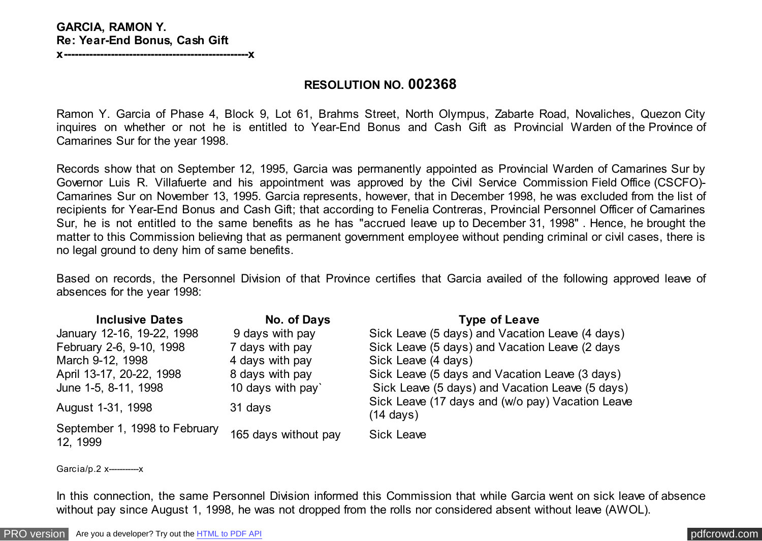## **GARCIA, RAMON Y. Re: Year-End Bonus, Cash Gift**

**x---------------------------------------------------x**

## **RESOLUTION NO. 002368**

Ramon Y. Garcia of Phase 4, Block 9, Lot 61, Brahms Street, North Olympus, Zabarte Road, Novaliches, Quezon City inquires on whether or not he is entitled to Year-End Bonus and Cash Gift as Provincial Warden of the Province of Camarines Sur for the year 1998.

Records show that on September 12, 1995, Garcia was permanently appointed as Provincial Warden of Camarines Sur by Governor Luis R. Villafuerte and his appointment was approved by the Civil Service Commission Field Office (CSCFO)- Camarines Sur on November 13, 1995. Garcia represents, however, that in December 1998, he was excluded from the list of recipients for Year-End Bonus and Cash Gift; that according to Fenelia Contreras, Provincial Personnel Officer of Camarines Sur, he is not entitled to the same benefits as he has "accrued leave up to December 31, 1998" . Hence, he brought the matter to this Commission believing that as permanent government employee without pending criminal or civil cases, there is no legal ground to deny him of same benefits.

Based on records, the Personnel Division of that Province certifies that Garcia availed of the following approved leave of absences for the year 1998:

| <b>Inclusive Dates</b>                    | No. of Days          | <b>Type of Leave</b>                                                    |
|-------------------------------------------|----------------------|-------------------------------------------------------------------------|
| January 12-16, 19-22, 1998                | 9 days with pay      | Sick Leave (5 days) and Vacation Leave (4 days)                         |
| February 2-6, 9-10, 1998                  | 7 days with pay      | Sick Leave (5 days) and Vacation Leave (2 days                          |
| March 9-12, 1998                          | 4 days with pay      | Sick Leave (4 days)                                                     |
| April 13-17, 20-22, 1998                  | 8 days with pay      | Sick Leave (5 days and Vacation Leave (3 days)                          |
| June 1-5, 8-11, 1998                      | 10 days with pay     | Sick Leave (5 days) and Vacation Leave (5 days)                         |
| August 1-31, 1998                         | 31 days              | Sick Leave (17 days and (w/o pay) Vacation Leave<br>$(14 \text{ days})$ |
| September 1, 1998 to February<br>12, 1999 | 165 days without pay | <b>Sick Leave</b>                                                       |

Garcia/p.2 x------------------

In this connection, the same Personnel Division informed this Commission that while Garcia went on sick leave of absence without pay since August 1, 1998, he was not dropped from the rolls nor considered absent without leave (AWOL).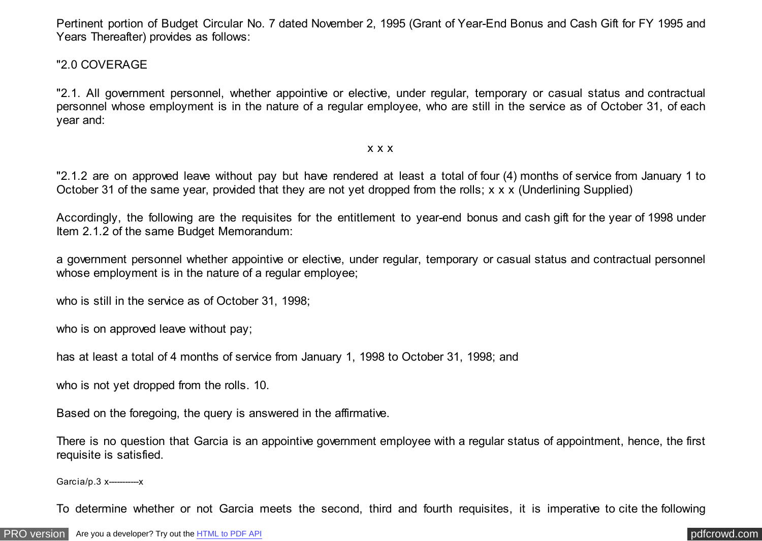Pertinent portion of Budget Circular No. 7 dated November 2, 1995 (Grant of Year-End Bonus and Cash Gift for FY 1995 and Years Thereafter) provides as follows:

## "2.0 COVERAGE

"2.1. All government personnel, whether appointive or elective, under regular, temporary or casual status and contractual personnel whose employment is in the nature of a regular employee, who are still in the service as of October 31, of each year and:

### x x x

"2.1.2 are on approved leave without pay but have rendered at least a total of four (4) months of service from January 1 to October 31 of the same year, provided that they are not yet dropped from the rolls; x x x (Underlining Supplied)

Accordingly, the following are the requisites for the entitlement to year-end bonus and cash gift for the year of 1998 under Item 2.1.2 of the same Budget Memorandum:

a government personnel whether appointive or elective, under regular, temporary or casual status and contractual personnel whose employment is in the nature of a regular employee;

who is still in the service as of October 31, 1998;

who is on approved leave without pay;

has at least a total of 4 months of service from January 1, 1998 to October 31, 1998; and

who is not yet dropped from the rolls. 10.

Based on the foregoing, the query is answered in the affirmative.

There is no question that Garcia is an appointive government employee with a regular status of appointment, hence, the first requisite is satisfied.

Garcia/p.3 x-----------x

To determine whether or not Garcia meets the second, third and fourth requisites, it is imperative to cite the following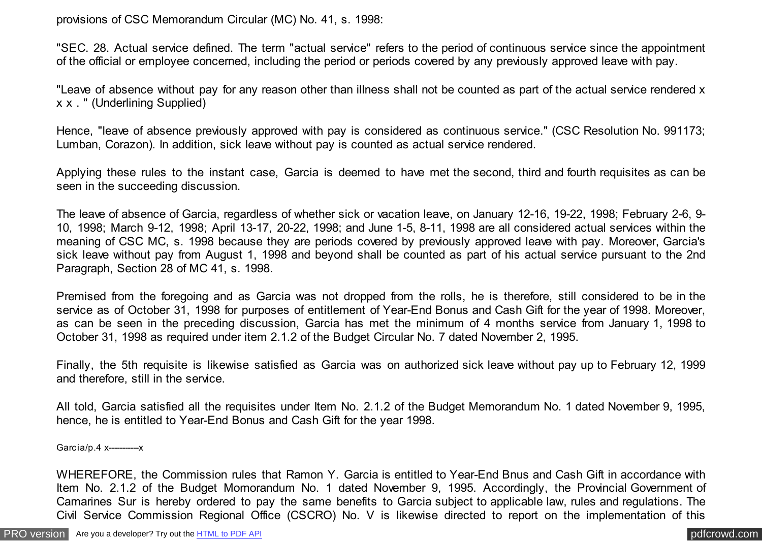provisions of CSC Memorandum Circular (MC) No. 41, s. 1998:

"SEC. 28. Actual service defined. The term "actual service" refers to the period of continuous service since the appointment of the official or employee concerned, including the period or periods covered by any previously approved leave with pay.

"Leave of absence without pay for any reason other than illness shall not be counted as part of the actual service rendered x x x . " (Underlining Supplied)

Hence, "leave of absence previously approved with pay is considered as continuous service." (CSC Resolution No. 991173; Lumban, Corazon). In addition, sick leave without pay is counted as actual service rendered.

Applying these rules to the instant case, Garcia is deemed to have met the second, third and fourth requisites as can be seen in the succeeding discussion.

The leave of absence of Garcia, regardless of whether sick or vacation leave, on January 12-16, 19-22, 1998; February 2-6, 9- 10, 1998; March 9-12, 1998; April 13-17, 20-22, 1998; and June 1-5, 8-11, 1998 are all considered actual services within the meaning of CSC MC, s. 1998 because they are periods covered by previously approved leave with pay. Moreover, Garcia's sick leave without pay from August 1, 1998 and beyond shall be counted as part of his actual service pursuant to the 2nd Paragraph, Section 28 of MC 41, s. 1998.

Premised from the foregoing and as Garcia was not dropped from the rolls, he is therefore, still considered to be in the service as of October 31, 1998 for purposes of entitlement of Year-End Bonus and Cash Gift for the year of 1998. Moreover, as can be seen in the preceding discussion, Garcia has met the minimum of 4 months service from January 1, 1998 to October 31, 1998 as required under item 2.1.2 of the Budget Circular No. 7 dated November 2, 1995.

Finally, the 5th requisite is likewise satisfied as Garcia was on authorized sick leave without pay up to February 12, 1999 and therefore, still in the service.

All told, Garcia satisfied all the requisites under Item No. 2.1.2 of the Budget Memorandum No. 1 dated November 9, 1995, hence, he is entitled to Year-End Bonus and Cash Gift for the year 1998.

Garcia/p.4 x----------------

WHEREFORE, the Commission rules that Ramon Y. Garcia is entitled to Year-End Bnus and Cash Gift in accordance with Item No. 2.1.2 of the Budget Momorandum No. 1 dated November 9, 1995. Accordingly, the Provincial Government of Camarines Sur is hereby ordered to pay the same benefits to Garcia subject to applicable law, rules and regulations. The Civil Service Commission Regional Office (CSCRO) No. V is likewise directed to report on the implementation of this